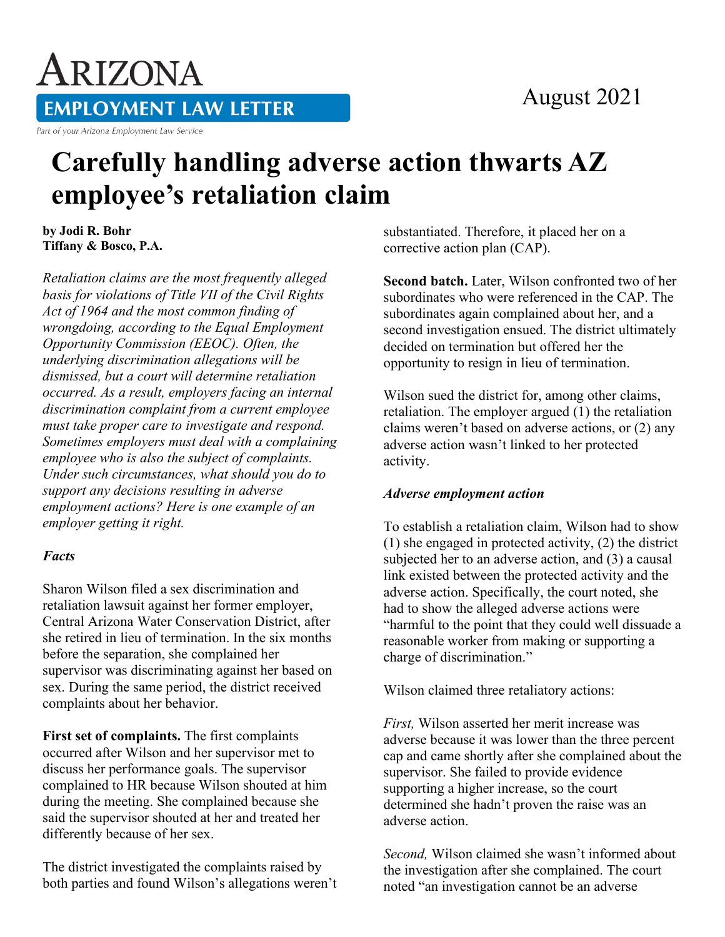### August 2021

# ARIZONA **EMPLOYMENT LAW LETTER**

Part of your Arizona Employment Law Service

## **Carefully handling adverse action thwarts AZ employee's retaliation claim**

**by Jodi R. Bohr Tiffany & Bosco, P.A.** 

*Retaliation claims are the most frequently alleged basis for violations of Title VII of the Civil Rights Act of 1964 and the most common finding of wrongdoing, according to the Equal Employment Opportunity Commission (EEOC). Often, the underlying discrimination allegations will be dismissed, but a court will determine retaliation occurred. As a result, employers facing an internal discrimination complaint from a current employee must take proper care to investigate and respond. Sometimes employers must deal with a complaining employee who is also the subject of complaints. Under such circumstances, what should you do to support any decisions resulting in adverse employment actions? Here is one example of an employer getting it right.*

#### *Facts*

Sharon Wilson filed a sex discrimination and retaliation lawsuit against her former employer, Central Arizona Water Conservation District, after she retired in lieu of termination. In the six months before the separation, she complained her supervisor was discriminating against her based on sex. During the same period, the district received complaints about her behavior.

**First set of complaints.** The first complaints occurred after Wilson and her supervisor met to discuss her performance goals. The supervisor complained to HR because Wilson shouted at him during the meeting. She complained because she said the supervisor shouted at her and treated her differently because of her sex.

The district investigated the complaints raised by both parties and found Wilson's allegations weren't substantiated. Therefore, it placed her on a corrective action plan (CAP).

**Second batch.** Later, Wilson confronted two of her subordinates who were referenced in the CAP. The subordinates again complained about her, and a second investigation ensued. The district ultimately decided on termination but offered her the opportunity to resign in lieu of termination.

Wilson sued the district for, among other claims, retaliation. The employer argued (1) the retaliation claims weren't based on adverse actions, or (2) any adverse action wasn't linked to her protected activity.

#### *Adverse employment action*

To establish a retaliation claim, Wilson had to show (1) she engaged in protected activity, (2) the district subjected her to an adverse action, and (3) a causal link existed between the protected activity and the adverse action. Specifically, the court noted, she had to show the alleged adverse actions were "harmful to the point that they could well dissuade a reasonable worker from making or supporting a charge of discrimination."

Wilson claimed three retaliatory actions:

*First,* Wilson asserted her merit increase was adverse because it was lower than the three percent cap and came shortly after she complained about the supervisor. She failed to provide evidence supporting a higher increase, so the court determined she hadn't proven the raise was an adverse action.

*Second,* Wilson claimed she wasn't informed about the investigation after she complained. The court noted "an investigation cannot be an adverse